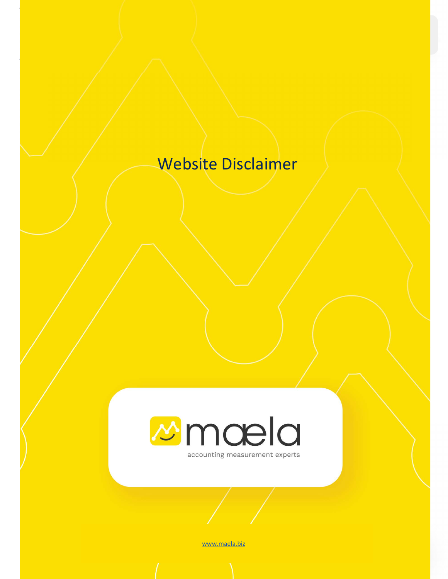# Website Disclaimer



www.maela.biz

Maela Website Disclaimer info@maela.biz 1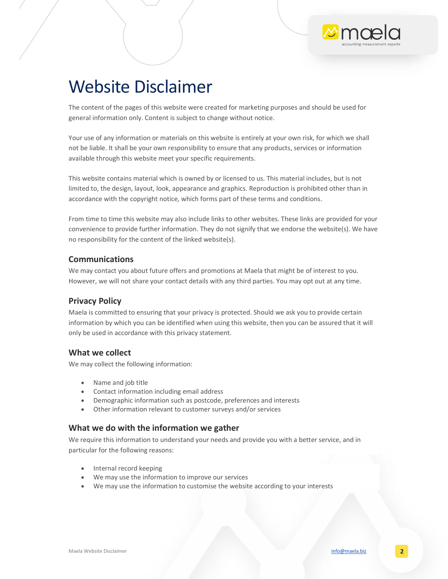# Website Disclaimer

The content of the pages of this website were created for marketing purposes and should be used for general information only. Content is subject to change without notice.

Your use of any information or materials on this website is entirely at your own risk, for which we shall not be liable. It shall be your own responsibility to ensure that any products, services or information available through this website meet your specific requirements.

This website contains material which is owned by or licensed to us. This material includes, but is not limited to, the design, layout, look, appearance and graphics. Reproduction is prohibited other than in accordance with the copyright notice, which forms part of these terms and conditions.

From time to time this website may also include links to other websites. These links are provided for your convenience to provide further information. They do not signify that we endorse the website(s). We have no responsibility for the content of the linked website(s).

#### Communications

We may contact you about future offers and promotions at Maela that might be of interest to you. However, we will not share your contact details with any third parties. You may opt out at any time.

#### Privacy Policy

Maela is committed to ensuring that your privacy is protected. Should we ask you to provide certain information by which you can be identified when using this website, then you can be assured that it will only be used in accordance with this privacy statement.

## What we collect

We may collect the following information:

- Name and job title
- Contact information including email address
- Demographic information such as postcode, preferences and interests
- Other information relevant to customer surveys and/or services

## What we do with the information we gather

We require this information to understand your needs and provide you with a better service, and in particular for the following reasons:

- Internal record keeping
- We may use the information to improve our services
- We may use the information to customise the website according to your interests